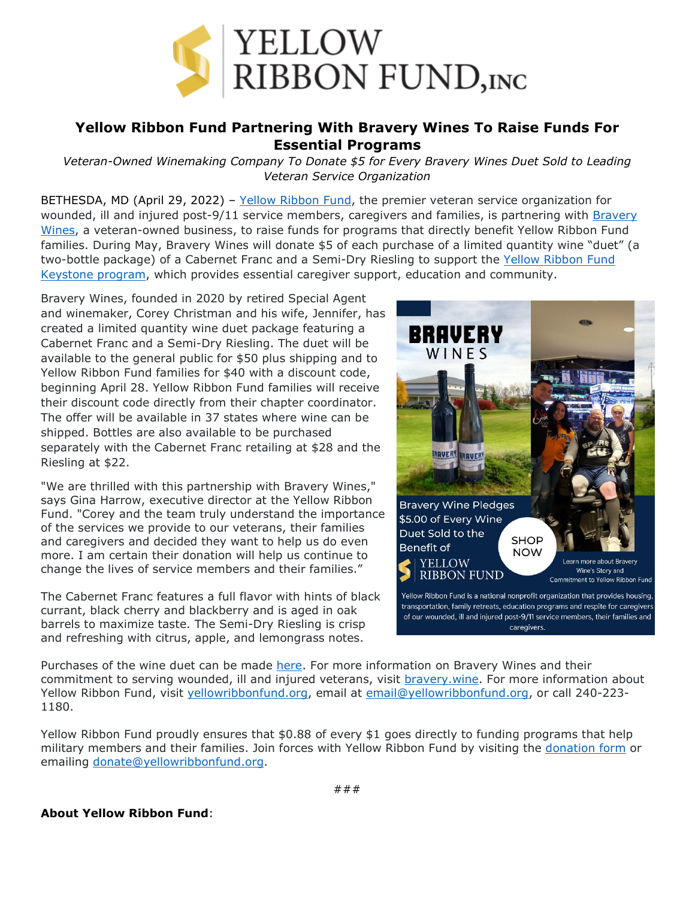

## **Yellow Ribbon Fund Partnering With Bravery Wines To Raise Funds For Essential Programs**

*Veteran-Owned Winemaking Company To Donate \$5 for Every Bravery Wines Duet Sold to Leading Veteran Service Organization*

BETHESDA, MD (April 29, 2022) – [Yellow Ribbon Fund,](https://yellowribbonfund.org/story/?utm_source=bravery+wines+press+release&utm_medium=press+release&utm_campaign=bravery+wines+partnership&utm_content=yellow+ribbon+fund+hyperlink+1) the premier veteran service organization for wounded, ill and injured post-9/11 service members, caregivers and families, is partnering with Bravery [Wines,](https://www.bravery.wine/about) a veteran-owned business, to raise funds for programs that directly benefit Yellow Ribbon Fund families. During May, Bravery Wines will donate \$5 of each purchase of a limited quantity wine "duet" (a two-bottle package) of a Cabernet Franc and a Semi-Dry Riesling to support the [Yellow Ribbon Fund](https://yellowribbonfund.org/programs/keystone-program/?utm_source=bravery+wines+press+release&utm_medium=press+release&utm_campaign=bravery+wines+partnership&utm_content=keystone+program+hyperlink)  [Keystone program,](https://yellowribbonfund.org/programs/keystone-program/?utm_source=bravery+wines+press+release&utm_medium=press+release&utm_campaign=bravery+wines+partnership&utm_content=keystone+program+hyperlink) which provides essential caregiver support, education and community.

Bravery Wines, founded in 2020 by retired Special Agent and winemaker, Corey Christman and his wife, Jennifer, has created a limited quantity wine duet package featuring a Cabernet Franc and a Semi-Dry Riesling. The duet will be available to the general public for \$50 plus shipping and to Yellow Ribbon Fund families for \$40 with a discount code, beginning April 28. Yellow Ribbon Fund families will receive their discount code directly from their chapter coordinator. The offer will be available in 37 states where wine can be shipped. Bottles are also available to be purchased separately with the Cabernet Franc retailing at \$28 and the Riesling at \$22.

"We are thrilled with this partnership with Bravery Wines," says Gina Harrow, executive director at the Yellow Ribbon Fund. "Corey and the team truly understand the importance of the services we provide to our veterans, their families and caregivers and decided they want to help us do even more. I am certain their donation will help us continue to change the lives of service members and their families."

The Cabernet Franc features a full flavor with hints of black currant, black cherry and blackberry and is aged in oak barrels to maximize taste. The Semi-Dry Riesling is crisp and refreshing with citrus, apple, and lemongrass notes.



Purchases of the wine duet can be made [here.](https://vinoshipper.com/shop/bravery_wines/2020_cabernet_franc_2019_riesling_-_valentine_s_day_pairing_86177?list=) For more information on Bravery Wines and their commitment to serving wounded, ill and injured veterans, visit **bravery** wine. For more information about Yellow Ribbon Fund, visit [yellowribbonfund.org,](https://yellowribbonfund.org/story/?utm_source=bravery+wines+press+release&utm_medium=press+release&utm_campaign=bravery+wines+partnership&utm_content=yellow+ribbon+fund+website+hyperlink+1) email at [email@yellowribbonfund.org,](mailto:email@yellowribbonfund.org) or call 240-223-1180.

Yellow Ribbon Fund proudly ensures that \$0.88 of every \$1 goes directly to funding programs that help military members and their families. Join forces with Yellow Ribbon Fund by visiting the [donation form](https://interland3.donorperfect.net/weblink/weblink.aspx?name=E189278&id=6&utm_source=bravery+wines+press+release&utm_medium=press+release&utm_campaign=bravery+wines+partnership&utm_content=donation+form+hyperlink) or emailing [donate@yellowribbonfund.org.](mailto:donate@yellowribbonfund.org)

## **About Yellow Ribbon Fund**: